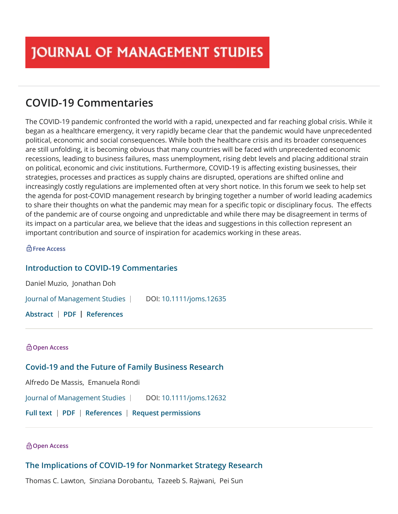# **COVID-19 Commentaries**

The COVID-19 pandemic confronted the world with a rapid, unexpected and far reaching global crisis. While it began as a healthcare emergency, it very rapidly became clear that the pandemic would have unprecedented political, economic and social consequences. While both the healthcare crisis and its broader consequences are still unfolding, it is becoming obvious that many countries will be faced with unprecedented economic recessions, leading to business failures, mass unemployment, rising debt levels and placing additional strain on political, economic and civic institutions. Furthermore, COVID-19 is affecting existing businesses, their strategies, processes and practices as supply chains are disrupted, operations are shifted online and increasingly costly regulations are implemented often at very short notice. In this forum we seek to help set the agenda for post-COVID management research by bringing together a number of world leading academics to share their thoughts on what the pandemic may mean for a specific topic or disciplinary focus. The effects of the pandemic are of course ongoing and unpredictable and while there may be disagreement in terms of its impact on a particular area, we believe that the ideas and suggestions in this collection represent an important contribution and source of inspiration for academics working in these areas.

#### **Free Access**

# **[Introduction to COVID](https://onlinelibrary.wiley.com/doi/10.1111/joms.12635)‐19 Commentaries**

[Daniel Muzio](https://onlinelibrary.wiley.com/action/doSearch?ContribAuthorStored=Muzio%2C+Daniel), [Jonathan Doh](https://onlinelibrary.wiley.com/action/doSearch?ContribAuthorStored=Doh%2C+Jonathan) [Journal of Management Studies](https://onlinelibrary.wiley.com/journal/14676486) | DOI[: 10.1111/joms.12635](https://onlinelibrary.wiley.com/doi/10.1111/joms.12635)

**[Abstract](https://onlinelibrary.wiley.com/doi/abs/10.1111/joms.12635) [PDF](https://onlinelibrary.wiley.com/doi/pdf/10.1111/joms.12635) [References](https://onlinelibrary.wiley.com/doi/full/10.1111/joms.12635#references-section)**

# **Open Access**

# **Covid‐[19 and the Future of Family Business Research](https://onlinelibrary.wiley.com/doi/10.1111/joms.12632)**

[Alfredo De Massis](https://onlinelibrary.wiley.com/action/doSearch?ContribAuthorStored=de+Massis%2C+Alfredo), [Emanuela Rondi](https://onlinelibrary.wiley.com/action/doSearch?ContribAuthorStored=Rondi%2C+Emanuela)

[Journal of Management Studies](https://onlinelibrary.wiley.com/journal/14676486) | DOI[: 10.1111/joms.12632](https://onlinelibrary.wiley.com/doi/10.1111/joms.12632)

**[Full text](https://onlinelibrary.wiley.com/doi/full/10.1111/joms.12632) [PDF](https://onlinelibrary.wiley.com/doi/pdf/10.1111/joms.12632) [References](https://onlinelibrary.wiley.com/doi/full/10.1111/joms.12632#references-section) [Request permissions](https://onlinelibrary.wiley.com/action/rightsLink?doi=10.1111%2Fjoms.12632&mode=)**

#### **Open Access**

# **The Implications of COVID‐[19 for Nonmarket Strategy Research](https://onlinelibrary.wiley.com/doi/10.1111/joms.12627)**

[Thomas C. Lawton](https://onlinelibrary.wiley.com/action/doSearch?ContribAuthorStored=Lawton%2C+Thomas+C), [Sinziana Dorobantu](https://onlinelibrary.wiley.com/action/doSearch?ContribAuthorStored=Dorobantu%2C+Sinziana), [Tazeeb S. Rajwani,](https://onlinelibrary.wiley.com/action/doSearch?ContribAuthorStored=Rajwani%2C+Tazeeb+S) [Pei Sun](https://onlinelibrary.wiley.com/action/doSearch?ContribAuthorStored=Sun%2C+Pei)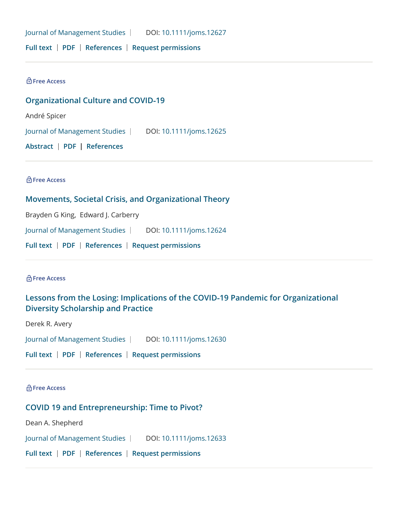[Journal of Management Studies](https://onlinelibrary.wiley.com/journal/14676486) | DOI[: 10.1111/joms.12627](https://onlinelibrary.wiley.com/doi/10.1111/joms.12627)

**[Full text](https://onlinelibrary.wiley.com/doi/full/10.1111/joms.12627) [PDF](https://onlinelibrary.wiley.com/doi/pdf/10.1111/joms.12627) [References](https://onlinelibrary.wiley.com/doi/full/10.1111/joms.12627#references-section) [Request permissions](https://onlinelibrary.wiley.com/action/rightsLink?doi=10.1111%2Fjoms.12627&mode=)**

**Free Access**

**[Organizational Culture and COVID](https://onlinelibrary.wiley.com/doi/10.1111/joms.12625)‐19**

[André Spicer](https://onlinelibrary.wiley.com/action/doSearch?ContribAuthorStored=Spicer%2C+Andr%C3%A9)

[Journal of Management Studies](https://onlinelibrary.wiley.com/journal/14676486) | DOI[: 10.1111/joms.12625](https://onlinelibrary.wiley.com/doi/10.1111/joms.12625)

**[Abstract](https://onlinelibrary.wiley.com/doi/abs/10.1111/joms.12625) [PDF](https://onlinelibrary.wiley.com/doi/pdf/10.1111/joms.12625) [References](https://onlinelibrary.wiley.com/doi/full/10.1111/joms.12625#references-section)**

**Free Access**

#### **[Movements, Societal Crisis, and Organizational Theory](https://onlinelibrary.wiley.com/doi/10.1111/joms.12624)**

[Brayden G King,](https://onlinelibrary.wiley.com/action/doSearch?ContribAuthorStored=King%2C+Brayden+G) [Edward J. Carberry](https://onlinelibrary.wiley.com/action/doSearch?ContribAuthorStored=Carberry%2C+Edward+J)

[Journal of Management Studies](https://onlinelibrary.wiley.com/journal/14676486) | DOI[: 10.1111/joms.12624](https://onlinelibrary.wiley.com/doi/10.1111/joms.12624)

**[Full text](https://onlinelibrary.wiley.com/doi/full/10.1111/joms.12624) [PDF](https://onlinelibrary.wiley.com/doi/pdf/10.1111/joms.12624) [References](https://onlinelibrary.wiley.com/doi/full/10.1111/joms.12624#references-section) [Request permissions](https://onlinelibrary.wiley.com/action/rightsLink?doi=10.1111%2Fjoms.12624&mode=)**

**Free Access**

# **[Lessons from the Losing: Implications of the COVID](https://onlinelibrary.wiley.com/doi/10.1111/joms.12630)‐19 Pandemic for Organizational Diversity Scholarship and Practice**

[Derek R. Avery](https://onlinelibrary.wiley.com/action/doSearch?ContribAuthorStored=Avery%2C+Derek+R)

[Journal of Management Studies](https://onlinelibrary.wiley.com/journal/14676486) | DOI[: 10.1111/joms.12630](https://onlinelibrary.wiley.com/doi/10.1111/joms.12630)

**[Full text](https://onlinelibrary.wiley.com/doi/full/10.1111/joms.12630) [PDF](https://onlinelibrary.wiley.com/doi/pdf/10.1111/joms.12630) [References](https://onlinelibrary.wiley.com/doi/full/10.1111/joms.12630#references-section) [Request permissions](https://onlinelibrary.wiley.com/action/rightsLink?doi=10.1111%2Fjoms.12630&mode=)**

**Free Access**

**[COVID 19 and Entrepreneurship: Time to Pivot?](https://onlinelibrary.wiley.com/doi/10.1111/joms.12633)**

[Dean A. Shepherd](https://onlinelibrary.wiley.com/action/doSearch?ContribAuthorStored=Shepherd%2C+Dean+A)

[Journal of Management Studies](https://onlinelibrary.wiley.com/journal/14676486) | DOI[: 10.1111/joms.12633](https://onlinelibrary.wiley.com/doi/10.1111/joms.12633)

**[Full text](https://onlinelibrary.wiley.com/doi/full/10.1111/joms.12633) [PDF](https://onlinelibrary.wiley.com/doi/pdf/10.1111/joms.12633) [References](https://onlinelibrary.wiley.com/doi/full/10.1111/joms.12633#references-section) [Request permissions](https://onlinelibrary.wiley.com/action/rightsLink?doi=10.1111%2Fjoms.12633&mode=)**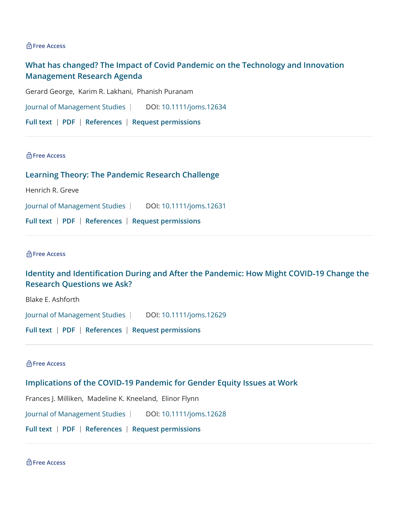#### **Free Access**

# **[What has changed? The Impact of Covid Pandemic on the Technology and Innovation](https://onlinelibrary.wiley.com/doi/10.1111/joms.12634) Management Research Agenda**

[Gerard George](https://onlinelibrary.wiley.com/action/doSearch?ContribAuthorStored=George%2C+Gerard), [Karim R. Lakhani,](https://onlinelibrary.wiley.com/action/doSearch?ContribAuthorStored=Lakhani%2C+Karim+R) [Phanish Puranam](https://onlinelibrary.wiley.com/action/doSearch?ContribAuthorStored=Puranam%2C+Phanish)

[Journal of Management Studies](https://onlinelibrary.wiley.com/journal/14676486) | DOI[: 10.1111/joms.12634](https://onlinelibrary.wiley.com/doi/10.1111/joms.12634)

|  |  |  | Full text   PDF   References   Request permissions |
|--|--|--|----------------------------------------------------|
|--|--|--|----------------------------------------------------|

#### **Free Access**

**[Learning Theory: The Pandemic Research Challenge](https://onlinelibrary.wiley.com/doi/10.1111/joms.12631)**

[Henrich R. Greve](https://onlinelibrary.wiley.com/action/doSearch?ContribAuthorStored=Greve%2C+Henrich+R)

[Journal of Management Studies](https://onlinelibrary.wiley.com/journal/14676486) | DOI[: 10.1111/joms.12631](https://onlinelibrary.wiley.com/doi/10.1111/joms.12631)

**[Full text](https://onlinelibrary.wiley.com/doi/full/10.1111/joms.12631) [PDF](https://onlinelibrary.wiley.com/doi/pdf/10.1111/joms.12631) [References](https://onlinelibrary.wiley.com/doi/full/10.1111/joms.12631#references-section) [Request permissions](https://onlinelibrary.wiley.com/action/rightsLink?doi=10.1111%2Fjoms.12631&mode=)**

#### **Free Access**

# **Identity and Identification During and After the Pandemic: How Might COVID-19 Change the Research Questions we Ask?**

[Blake E. Ashforth](https://onlinelibrary.wiley.com/action/doSearch?ContribAuthorStored=Ashforth%2C+Blake+E)

[Journal of Management Studies](https://onlinelibrary.wiley.com/journal/14676486) | DOI[: 10.1111/joms.12629](https://onlinelibrary.wiley.com/doi/10.1111/joms.12629)

**[Full text](https://onlinelibrary.wiley.com/doi/full/10.1111/joms.12629) [PDF](https://onlinelibrary.wiley.com/doi/pdf/10.1111/joms.12629) [References](https://onlinelibrary.wiley.com/doi/full/10.1111/joms.12629#references-section) [Request permissions](https://onlinelibrary.wiley.com/action/rightsLink?doi=10.1111%2Fjoms.12629&mode=)**

#### **Free Access**

#### **Implications of the COVID‐[19 Pandemic for Gender Equity Issues at Work](https://onlinelibrary.wiley.com/doi/10.1111/joms.12628)**

[Frances J. Milliken](https://onlinelibrary.wiley.com/action/doSearch?ContribAuthorStored=Milliken%2C+Frances+J), [Madeline K. Kneeland](https://onlinelibrary.wiley.com/action/doSearch?ContribAuthorStored=Kneeland%2C+Madeline+K), [Elinor Flynn](https://onlinelibrary.wiley.com/action/doSearch?ContribAuthorStored=Flynn%2C+Elinor)

[Journal of Management Studies](https://onlinelibrary.wiley.com/journal/14676486) | DOI[: 10.1111/joms.12628](https://onlinelibrary.wiley.com/doi/10.1111/joms.12628)

**[Full text](https://onlinelibrary.wiley.com/doi/full/10.1111/joms.12628) [PDF](https://onlinelibrary.wiley.com/doi/pdf/10.1111/joms.12628) [References](https://onlinelibrary.wiley.com/doi/full/10.1111/joms.12628#references-section) [Request permissions](https://onlinelibrary.wiley.com/action/rightsLink?doi=10.1111%2Fjoms.12628&mode=)**

**Free Access**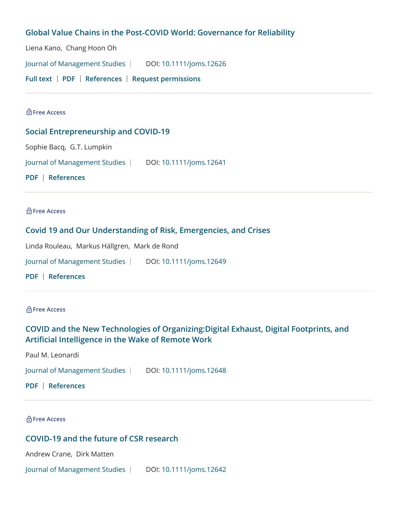# **Global Value Chains in the Post‐[COVID World: Governance for Reliability](https://onlinelibrary.wiley.com/doi/10.1111/joms.12626)**

[Liena Kano](https://onlinelibrary.wiley.com/action/doSearch?ContribAuthorStored=Kano%2C+Liena), [Chang Hoon Oh](https://onlinelibrary.wiley.com/action/doSearch?ContribAuthorStored=Oh%2C+Chang+Hoon)

[Journal of Management Studies](https://onlinelibrary.wiley.com/journal/14676486) | DOI[: 10.1111/joms.12626](https://onlinelibrary.wiley.com/doi/10.1111/joms.12626)

**[Full text](https://onlinelibrary.wiley.com/doi/full/10.1111/joms.12626) [PDF](https://onlinelibrary.wiley.com/doi/pdf/10.1111/joms.12626) [References](https://onlinelibrary.wiley.com/doi/full/10.1111/joms.12626#references-section) [Request permissions](https://onlinelibrary.wiley.com/action/rightsLink?doi=10.1111%2Fjoms.12626&mode=)**

#### **Free Access**

# **[Social Entrepreneurship and COVID](https://onlinelibrary.wiley.com/doi/10.1111/joms.12641)‐19**

[Sophie Bacq](https://onlinelibrary.wiley.com/action/doSearch?ContribAuthorStored=Bacq%2C+Sophie), [G.T. Lumpkin](https://onlinelibrary.wiley.com/action/doSearch?ContribAuthorStored=Lumpkin%2C+GT)

[Journal of Management Studies](https://onlinelibrary.wiley.com/journal/14676486) | DOI[: 10.1111/joms.12641](https://onlinelibrary.wiley.com/doi/10.1111/joms.12641)

**[PDF](https://onlinelibrary.wiley.com/doi/pdf/10.1111/joms.12641) [References](https://onlinelibrary.wiley.com/doi/full/10.1111/joms.12641#references-section)**

#### **Free Access**

# **[Covid 19 and Our Understanding of Risk, Emergencies, and Crises](https://onlinelibrary.wiley.com/doi/10.1111/joms.12649)**

[Linda Rouleau,](https://onlinelibrary.wiley.com/action/doSearch?ContribAuthorStored=Rouleau%2C+Linda) [Markus Hällgren,](https://onlinelibrary.wiley.com/action/doSearch?ContribAuthorStored=H%C3%A4llgren%2C+Markus) [Mark de Rond](https://onlinelibrary.wiley.com/action/doSearch?ContribAuthorStored=de+Rond%2C+Mark)

[Journal of Management Studies](https://onlinelibrary.wiley.com/journal/14676486) | DOI[: 10.1111/joms.12649](https://onlinelibrary.wiley.com/doi/10.1111/joms.12649)

**[PDF](https://onlinelibrary.wiley.com/doi/pdf/10.1111/joms.12649) [References](https://onlinelibrary.wiley.com/doi/full/10.1111/joms.12649#references-section)**

#### **Free Access**

# **[COVID and the New Technologies of Organizing:Digital Exhaust, Digital Footprints, and](https://onlinelibrary.wiley.com/doi/10.1111/joms.12648) Articial Intelligence in the Wake of Remote Work**

[Paul M. Leonardi](https://onlinelibrary.wiley.com/action/doSearch?ContribAuthorStored=Leonardi%2C+Paul+M)

[Journal of Management Studies](https://onlinelibrary.wiley.com/journal/14676486) | DOI[: 10.1111/joms.12648](https://onlinelibrary.wiley.com/doi/10.1111/joms.12648)

**[PDF](https://onlinelibrary.wiley.com/doi/pdf/10.1111/joms.12648) [References](https://onlinelibrary.wiley.com/doi/full/10.1111/joms.12648#references-section)**

**Free Access**

# **COVID‐[19 and the future of CSR research](https://onlinelibrary.wiley.com/doi/10.1111/joms.12642)**

[Andrew Crane](https://onlinelibrary.wiley.com/action/doSearch?ContribAuthorStored=Crane%2C+Andrew), [Dirk Matten](https://onlinelibrary.wiley.com/action/doSearch?ContribAuthorStored=Matten%2C+Dirk)

[Journal of Management Studies](https://onlinelibrary.wiley.com/journal/14676486) | DOI[: 10.1111/joms.12642](https://onlinelibrary.wiley.com/doi/10.1111/joms.12642)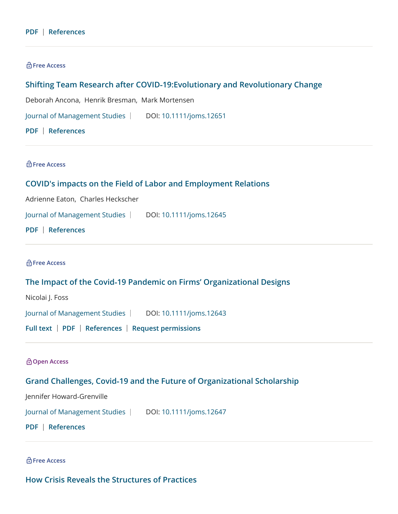#### **[PDF](https://onlinelibrary.wiley.com/doi/pdf/10.1111/joms.12642) [References](https://onlinelibrary.wiley.com/doi/full/10.1111/joms.12642#references-section)**

#### **Free Access**

# **Shifting Team Research after COVID‐[19:Evolutionary and Revolutionary Change](https://onlinelibrary.wiley.com/doi/10.1111/joms.12651)**

[Deborah Ancona,](https://onlinelibrary.wiley.com/action/doSearch?ContribAuthorStored=Ancona%2C+Deborah) [Henrik Bresman,](https://onlinelibrary.wiley.com/action/doSearch?ContribAuthorStored=Bresman%2C+Henrik) [Mark Mortensen](https://onlinelibrary.wiley.com/action/doSearch?ContribAuthorStored=Mortensen%2C+Mark)

[Journal of Management Studies](https://onlinelibrary.wiley.com/journal/14676486) | DOI[: 10.1111/joms.12651](https://onlinelibrary.wiley.com/doi/10.1111/joms.12651)

**[PDF](https://onlinelibrary.wiley.com/doi/pdf/10.1111/joms.12651) [References](https://onlinelibrary.wiley.com/doi/full/10.1111/joms.12651#references-section)**

**Free Access**

# **[COVID's impacts on the Field of Labor and Employment Relations](https://onlinelibrary.wiley.com/doi/10.1111/joms.12645)**

[Adrienne Eaton,](https://onlinelibrary.wiley.com/action/doSearch?ContribAuthorStored=Eaton%2C+Adrienne) [Charles Heckscher](https://onlinelibrary.wiley.com/action/doSearch?ContribAuthorStored=Heckscher%2C+Charles)

[Journal of Management Studies](https://onlinelibrary.wiley.com/journal/14676486) | DOI[: 10.1111/joms.12645](https://onlinelibrary.wiley.com/doi/10.1111/joms.12645)

**[PDF](https://onlinelibrary.wiley.com/doi/pdf/10.1111/joms.12645) [References](https://onlinelibrary.wiley.com/doi/full/10.1111/joms.12645#references-section)**

**Free Access**

#### **The Impact of the Covid‐[19 Pandemic on Firms' Organizational Designs](https://onlinelibrary.wiley.com/doi/10.1111/joms.12643)**

[Nicolai J. Foss](https://onlinelibrary.wiley.com/action/doSearch?ContribAuthorStored=Foss%2C+Nicolai+J)

[Journal of Management Studies](https://onlinelibrary.wiley.com/journal/14676486) | DOI[: 10.1111/joms.12643](https://onlinelibrary.wiley.com/doi/10.1111/joms.12643)

**[Full text](https://onlinelibrary.wiley.com/doi/full/10.1111/joms.12643) [PDF](https://onlinelibrary.wiley.com/doi/pdf/10.1111/joms.12643) [References](https://onlinelibrary.wiley.com/doi/full/10.1111/joms.12643#references-section) [Request permissions](https://onlinelibrary.wiley.com/action/rightsLink?doi=10.1111%2Fjoms.12643&mode=)**

**Open Access**

# **Grand Challenges, Covid‐[19 and the Future of Organizational Scholarship](https://onlinelibrary.wiley.com/doi/10.1111/joms.12647)**

[Jennifer Howard](https://onlinelibrary.wiley.com/action/doSearch?ContribAuthorStored=Howard-Grenville%2C+Jennifer)‐Grenville

[Journal of Management Studies](https://onlinelibrary.wiley.com/journal/14676486) | DOI[: 10.1111/joms.12647](https://onlinelibrary.wiley.com/doi/10.1111/joms.12647)

**[PDF](https://onlinelibrary.wiley.com/doi/pdf/10.1111/joms.12647) [References](https://onlinelibrary.wiley.com/doi/full/10.1111/joms.12647#references-section)**

**Free Access**

**[How Crisis Reveals the Structures of Practices](https://onlinelibrary.wiley.com/doi/10.1111/joms.12650)**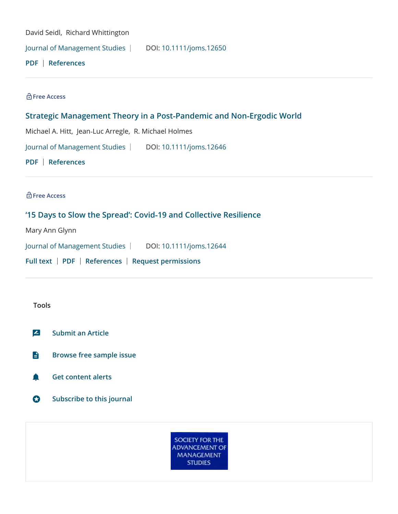[David Seidl](https://onlinelibrary.wiley.com/action/doSearch?ContribAuthorStored=Seidl%2C+David), [Richard Whittington](https://onlinelibrary.wiley.com/action/doSearch?ContribAuthorStored=Whittington%2C+Richard)

[Journal of Management Studies](https://onlinelibrary.wiley.com/journal/14676486) | DOI[: 10.1111/joms.12650](https://onlinelibrary.wiley.com/doi/10.1111/joms.12650)

**[PDF](https://onlinelibrary.wiley.com/doi/pdf/10.1111/joms.12650) [References](https://onlinelibrary.wiley.com/doi/full/10.1111/joms.12650#references-section)**

**Free Access**

# **[Strategic Management Theory in a Post](https://onlinelibrary.wiley.com/doi/10.1111/joms.12646)‐Pandemic and Non‐Ergodic World**

[Michael A. Hitt,](https://onlinelibrary.wiley.com/action/doSearch?ContribAuthorStored=Hitt%2C+Michael+A) Jean‐[Luc Arregle,](https://onlinelibrary.wiley.com/action/doSearch?ContribAuthorStored=Arregle%2C+Jean-Luc) [R. Michael Holmes](https://onlinelibrary.wiley.com/action/doSearch?ContribAuthorStored=Holmes%2C+R+Michael)

[Journal of Management Studies](https://onlinelibrary.wiley.com/journal/14676486) | DOI[: 10.1111/joms.12646](https://onlinelibrary.wiley.com/doi/10.1111/joms.12646)

**[PDF](https://onlinelibrary.wiley.com/doi/pdf/10.1111/joms.12646) [References](https://onlinelibrary.wiley.com/doi/full/10.1111/joms.12646#references-section)**

**Free Access**

# **['15 Days to Slow the Spread': Covid](https://onlinelibrary.wiley.com/doi/10.1111/joms.12644)‐19 and Collective Resilience**

[Mary Ann Glynn](https://onlinelibrary.wiley.com/action/doSearch?ContribAuthorStored=Glynn%2C+Mary+Ann)

[Journal of Management Studies](https://onlinelibrary.wiley.com/journal/14676486) | DOI[: 10.1111/joms.12644](https://onlinelibrary.wiley.com/doi/10.1111/joms.12644)

**[Full text](https://onlinelibrary.wiley.com/doi/full/10.1111/joms.12644) [PDF](https://onlinelibrary.wiley.com/doi/pdf/10.1111/joms.12644) [References](https://onlinelibrary.wiley.com/doi/full/10.1111/joms.12644#references-section) [Request permissions](https://onlinelibrary.wiley.com/action/rightsLink?doi=10.1111%2Fjoms.12644&mode=)**

#### **Tools**

**[Submit an Article](http://onlinelibrary.wiley.com/journal/10.1111/(ISSN)1467-6486/homepage/JMS_Submit_an_Article.pdf)**

- **[Browse free sample issue](https://onlinelibrary.wiley.com/toc/10.1111/(ISSN)1467-6486/free-sample)**
- **[Get content alerts](https://onlinelibrary.wiley.com/action/doUpdateAlertSettings?action=addJournal&journalCode=14676486)**
- **[Subscribe to this journal](https://ordering.onlinelibrary.wiley.com/subs.asp?ref=1467-6486&doi=10.1111/(ISSN)1467-6486)**

**SOCIETY FOR THE ADVANCEMENT OF MANAGEMENT STUDIES**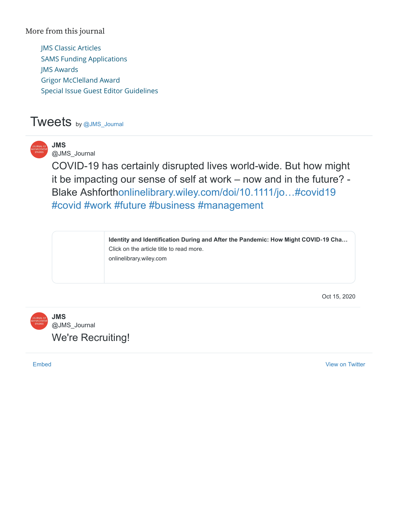# More from this journal

[JMS Classic Articles](https://onlinelibrary.wiley.com/page/journal/14676486/homepage/jms_classic_articles.htm) [SAMS Funding Applications](https://onlinelibrary.wiley.com/page/journal/14676486/homepage/sams_funding_applications.htm) [JMS Awards](https://onlinelibrary.wiley.com/page/journal/14676486/homepage/jms_best_paper_award.htm) [Grigor McClelland Award](https://onlinelibrary.wiley.com/page/journal/14676486/homepage/grigor_mcclelland_doctoral_dissertation_award.htm) [Special Issue Guest Editor Guidelines](http://www.socadms.org.uk/journal-management-studies/special-issues/)

# Tweets by [@JMS\\_Journal](https://twitter.com/JMS_Journal)



**JMS** [@JMS\\_Journal](https://twitter.com/JMS_Journal)

COVID-19 has certainly disrupted lives world-wide. But how might it be impacting our sense of self at work – now and in the future? - Blake Ashforth[onlinelibrary.wiley.com/doi/10.1111/jo…](https://t.co/WTCh272gKf)[#covid19](https://twitter.com/hashtag/covid19?src=hash) [#covid](https://twitter.com/hashtag/covid?src=hash) [#work](https://twitter.com/hashtag/work?src=hash) [#future](https://twitter.com/hashtag/future?src=hash) [#business](https://twitter.com/hashtag/business?src=hash) [#management](https://twitter.com/hashtag/management?src=hash)

> **[Identity and Identification During and After the Pandemic: How Might COVID](https://t.co/WTCh272gKf)-19 Cha…** Click on the article title to read more. onlinelibrary.wiley.com

> > [Oct 15, 2020](https://twitter.com/JMS_Journal/status/1316751837966540800)



[Embed](https://publish.twitter.com/?url=https%3A%2F%2Ftwitter.com%2FJMS_Journal) [View on Twitter](https://twitter.com/JMS_Journal)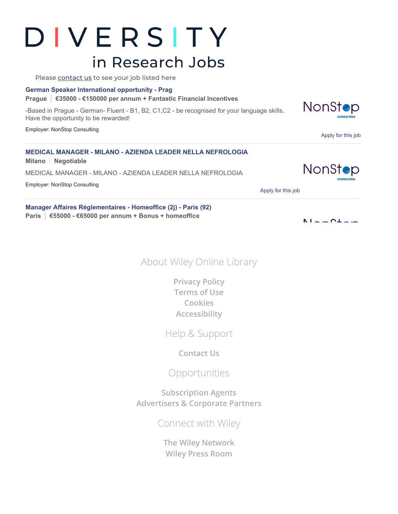# DIVERSITY in Research Jobs

Please [contact](mailto:recruitmentsales@wiley.com) us to see your job listed here

#### **[German Speaker International opportunity - Prag](https://www.diversityinresearch.careers/job/1197564/german-speaker-international-opportunity-prag/?TrackID=373059&utm_source=DiR&utm_medium=WOLwidget&utm_campaign=BussinessManagement)**

**Prague €35000 - €150000 per annum + Fantastic Financial Incentives**

-Based in Prague - German- Fluent - B1, B2, C1,C2 - be recognised for your language skills. Have the opportunity to be rewarded!

Employer: NonStop Consulting

| <b>MEDICAL MANAGER - MILANO - AZIENDA LEADER NELLA NEFROLOGIA</b><br>Milano   Negotiable |
|------------------------------------------------------------------------------------------|
| MEDICAL MANAGER - MILANO - AZIENDA LEADER NELLA NEFROLOGIA                               |
| Employer: NonStop Consulting                                                             |

[Apply for this job](https://www.diversityinresearch.careers/apply/1197559/medical-manager-milano-azienda-leader-nella-nefrologia/?TrackID=373059&utm_source=DiR&utm_medium=WOLwidget&utm_campaign=BussinessManagement)

**[Manager Affaires Réglementaires - Homeoffice \(2j\) - Paris \(92\)](https://www.diversityinresearch.careers/job/1197541/manager-affaires-reglementaires-homeoffice-2j-paris-92-/?TrackID=373059&utm_source=DiR&utm_medium=WOLwidget&utm_campaign=BussinessManagement) Paris €55000 - €65000 per annum + Bonus + homeoffice**

About Wiley Online Library

**[Privacy Policy](https://www.wiley.com/privacy) [Terms of Use](https://onlinelibrary.wiley.com/terms-and-conditions) [Cookies](https://onlinelibrary.wiley.com/cookies) [Accessibility](https://onlinelibrary.wiley.com/accessibility)**

Help & Support

**[Contact Us](https://hub.wiley.com/community/support/onlinelibrary)**

Opportunities

**[Subscription Agents](https://onlinelibrary.wiley.com/agents) [Advertisers & Corporate Partners](https://onlinelibrary.wiley.com/advertisers)**

Connect with Wiley

**[The Wiley Network](https://www.wiley.com/network) [Wiley Press Room](https://newsroom.wiley.com/)**



NonStop

NonStop

[Apply for this job](https://www.diversityinresearch.careers/apply/1197564/german-speaker-international-opportunity-prag/?TrackID=373059&utm_source=DiR&utm_medium=WOLwidget&utm_campaign=BussinessManagement)

**CONSULTING** 

 $N = -N + -$